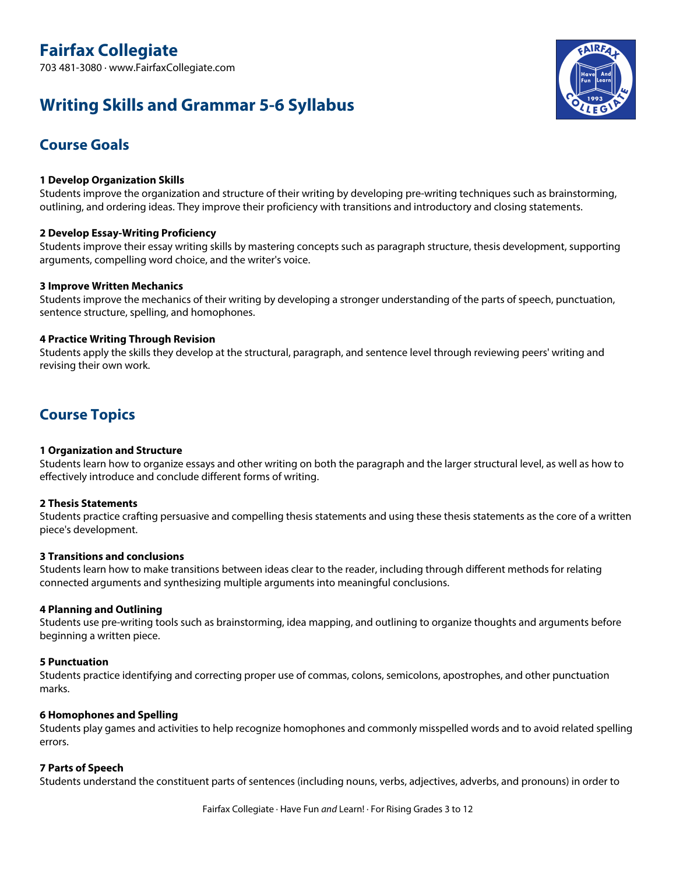# **Writing Skills and Grammar 5-6 Syllabus**



# **Course Goals**

# **1 Develop Organization Skills**

Students improve the organization and structure of their writing by developing pre-writing techniques such as brainstorming, outlining, and ordering ideas. They improve their proficiency with transitions and introductory and closing statements.

# **2 Develop Essay-Writing Proficiency**

Students improve their essay writing skills by mastering concepts such as paragraph structure, thesis development, supporting arguments, compelling word choice, and the writer's voice.

# **3 Improve Written Mechanics**

Students improve the mechanics of their writing by developing a stronger understanding of the parts of speech, punctuation, sentence structure, spelling, and homophones.

# **4 Practice Writing Through Revision**

Students apply the skills they develop at the structural, paragraph, and sentence level through reviewing peers' writing and revising their own work.

# **Course Topics**

# **1 Organization and Structure**

Students learn how to organize essays and other writing on both the paragraph and the larger structural level, as well as how to effectively introduce and conclude different forms of writing.

# **2 Thesis Statements**

Students practice crafting persuasive and compelling thesis statements and using these thesis statements as the core of a written piece's development.

# **3 Transitions and conclusions**

Students learn how to make transitions between ideas clear to the reader, including through different methods for relating connected arguments and synthesizing multiple arguments into meaningful conclusions.

# **4 Planning and Outlining**

Students use pre-writing tools such as brainstorming, idea mapping, and outlining to organize thoughts and arguments before beginning a written piece.

# **5 Punctuation**

Students practice identifying and correcting proper use of commas, colons, semicolons, apostrophes, and other punctuation marks.

# **6 Homophones and Spelling**

Students play games and activities to help recognize homophones and commonly misspelled words and to avoid related spelling errors.

# **7 Parts of Speech**

Students understand the constituent parts of sentences (including nouns, verbs, adjectives, adverbs, and pronouns) in order to

Fairfax Collegiate · Have Fun *and* Learn! · For Rising Grades 3 to 12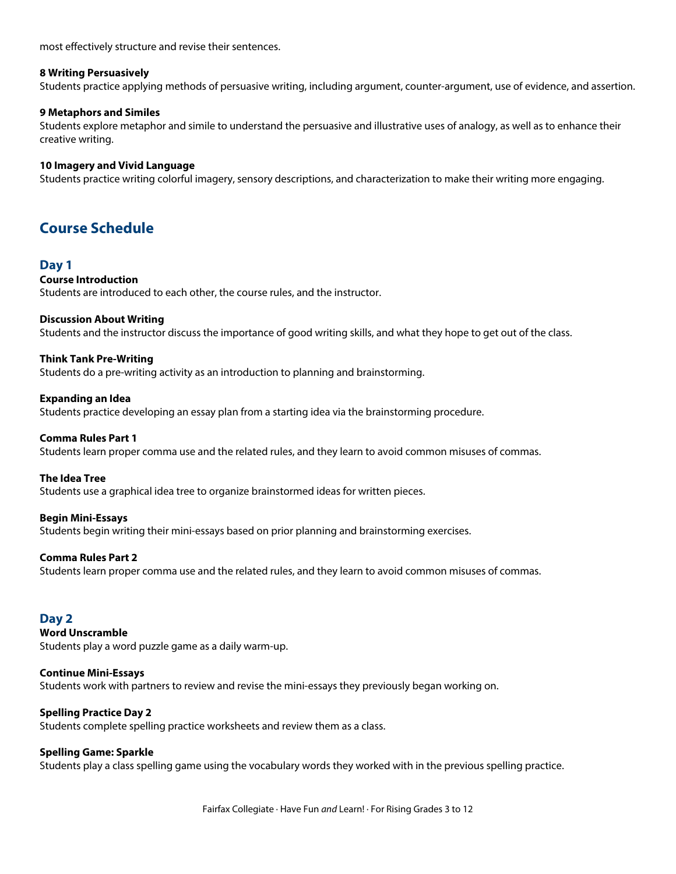most effectively structure and revise their sentences.

# **8 Writing Persuasively**

Students practice applying methods of persuasive writing, including argument, counter-argument, use of evidence, and assertion.

### **9 Metaphors and Similes**

Students explore metaphor and simile to understand the persuasive and illustrative uses of analogy, as well as to enhance their creative writing.

### **10 Imagery and Vivid Language**

Students practice writing colorful imagery, sensory descriptions, and characterization to make their writing more engaging.

# **Course Schedule**

# **Day 1**

# **Course Introduction**

Students are introduced to each other, the course rules, and the instructor.

#### **Discussion About Writing**

Students and the instructor discuss the importance of good writing skills, and what they hope to get out of the class.

# **Think Tank Pre-Writing**

Students do a pre-writing activity as an introduction to planning and brainstorming.

#### **Expanding an Idea**

Students practice developing an essay plan from a starting idea via the brainstorming procedure.

#### **Comma Rules Part 1**

Students learn proper comma use and the related rules, and they learn to avoid common misuses of commas.

#### **The Idea Tree**

Students use a graphical idea tree to organize brainstormed ideas for written pieces.

#### **Begin Mini-Essays**

Students begin writing their mini-essays based on prior planning and brainstorming exercises.

# **Comma Rules Part 2**

Students learn proper comma use and the related rules, and they learn to avoid common misuses of commas.

# **Day 2**

**Word Unscramble**

Students play a word puzzle game as a daily warm-up.

# **Continue Mini-Essays**

Students work with partners to review and revise the mini-essays they previously began working on.

# **Spelling Practice Day 2**

Students complete spelling practice worksheets and review them as a class.

# **Spelling Game: Sparkle**

Students play a class spelling game using the vocabulary words they worked with in the previous spelling practice.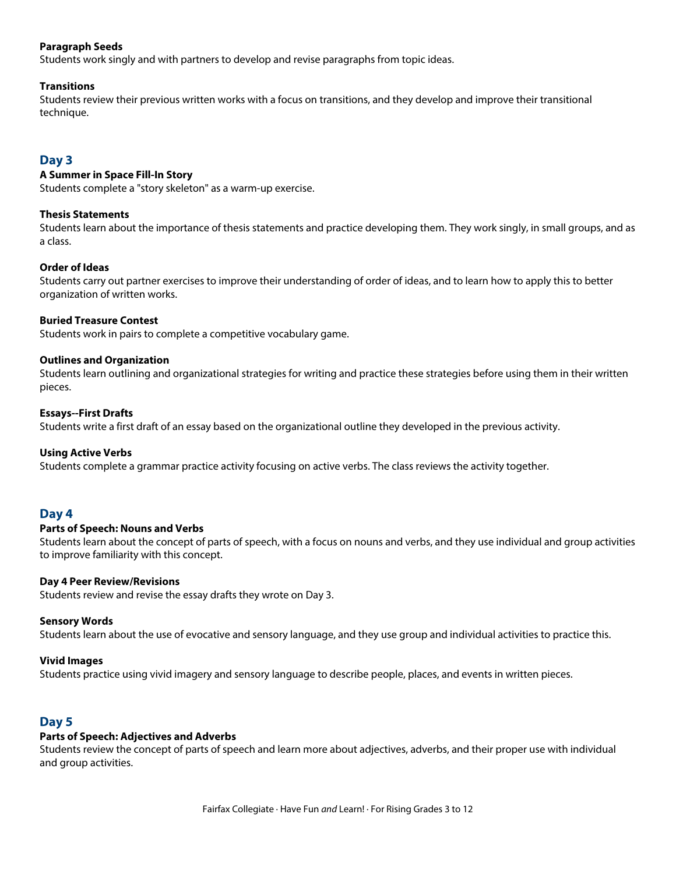# **Paragraph Seeds**

Students work singly and with partners to develop and revise paragraphs from topic ideas.

### **Transitions**

Students review their previous written works with a focus on transitions, and they develop and improve their transitional technique.

# **Day 3**

# **A Summer in Space Fill-In Story**

Students complete a "story skeleton" as a warm-up exercise.

#### **Thesis Statements**

Students learn about the importance of thesis statements and practice developing them. They work singly, in small groups, and as a class.

#### **Order of Ideas**

Students carry out partner exercises to improve their understanding of order of ideas, and to learn how to apply this to better organization of written works.

#### **Buried Treasure Contest**

Students work in pairs to complete a competitive vocabulary game.

#### **Outlines and Organization**

Students learn outlining and organizational strategies for writing and practice these strategies before using them in their written pieces.

#### **Essays--First Drafts**

Students write a first draft of an essay based on the organizational outline they developed in the previous activity.

# **Using Active Verbs**

Students complete a grammar practice activity focusing on active verbs. The class reviews the activity together.

# **Day 4**

#### **Parts of Speech: Nouns and Verbs**

Students learn about the concept of parts of speech, with a focus on nouns and verbs, and they use individual and group activities to improve familiarity with this concept.

#### **Day 4 Peer Review/Revisions**

Students review and revise the essay drafts they wrote on Day 3.

#### **Sensory Words**

Students learn about the use of evocative and sensory language, and they use group and individual activities to practice this.

#### **Vivid Images**

Students practice using vivid imagery and sensory language to describe people, places, and events in written pieces.

# **Day 5**

# **Parts of Speech: Adjectives and Adverbs**

Students review the concept of parts of speech and learn more about adjectives, adverbs, and their proper use with individual and group activities.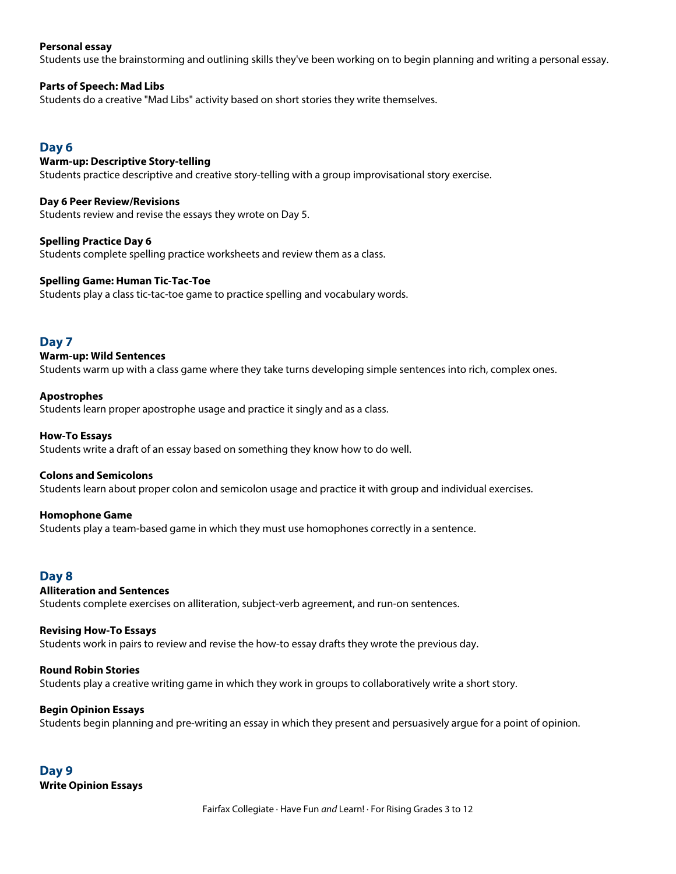### **Personal essay**

Students use the brainstorming and outlining skills they've been working on to begin planning and writing a personal essay.

#### **Parts of Speech: Mad Libs**

Students do a creative "Mad Libs" activity based on short stories they write themselves.

# **Day 6**

### **Warm-up: Descriptive Story-telling**

Students practice descriptive and creative story-telling with a group improvisational story exercise.

**Day 6 Peer Review/Revisions** Students review and revise the essays they wrote on Day 5.

**Spelling Practice Day 6** Students complete spelling practice worksheets and review them as a class.

#### **Spelling Game: Human Tic-Tac-Toe**

Students play a class tic-tac-toe game to practice spelling and vocabulary words.

# **Day 7**

#### **Warm-up: Wild Sentences**

Students warm up with a class game where they take turns developing simple sentences into rich, complex ones.

#### **Apostrophes**

Students learn proper apostrophe usage and practice it singly and as a class.

#### **How-To Essays**

Students write a draft of an essay based on something they know how to do well.

#### **Colons and Semicolons**

Students learn about proper colon and semicolon usage and practice it with group and individual exercises.

#### **Homophone Game**

Students play a team-based game in which they must use homophones correctly in a sentence.

# **Day 8**

# **Alliteration and Sentences**

Students complete exercises on alliteration, subject-verb agreement, and run-on sentences.

#### **Revising How-To Essays**

Students work in pairs to review and revise the how-to essay drafts they wrote the previous day.

#### **Round Robin Stories**

Students play a creative writing game in which they work in groups to collaboratively write a short story.

# **Begin Opinion Essays**

Students begin planning and pre-writing an essay in which they present and persuasively argue for a point of opinion.

**Day 9 Write Opinion Essays**